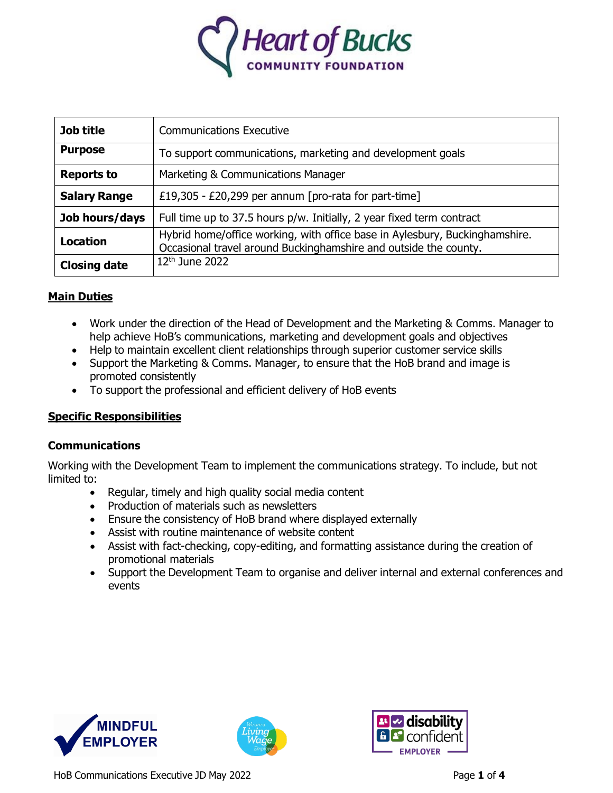

| Job title           | <b>Communications Executive</b>                                                                                                                 |
|---------------------|-------------------------------------------------------------------------------------------------------------------------------------------------|
| <b>Purpose</b>      | To support communications, marketing and development goals                                                                                      |
| <b>Reports to</b>   | Marketing & Communications Manager                                                                                                              |
| <b>Salary Range</b> | £19,305 - £20,299 per annum [pro-rata for part-time]                                                                                            |
| Job hours/days      | Full time up to 37.5 hours p/w. Initially, 2 year fixed term contract                                                                           |
| <b>Location</b>     | Hybrid home/office working, with office base in Aylesbury, Buckinghamshire.<br>Occasional travel around Buckinghamshire and outside the county. |
| <b>Closing date</b> | $12th$ June 2022                                                                                                                                |

# **Main Duties**

- Work under the direction of the Head of Development and the Marketing & Comms. Manager to help achieve HoB's communications, marketing and development goals and objectives
- Help to maintain excellent client relationships through superior customer service skills
- Support the Marketing & Comms. Manager, to ensure that the HoB brand and image is promoted consistently
- To support the professional and efficient delivery of HoB events

## **Specific Responsibilities**

## **Communications**

Working with the Development Team to implement the communications strategy. To include, but not limited to:

- Regular, timely and high quality social media content
- Production of materials such as newsletters
- Ensure the consistency of HoB brand where displayed externally
- Assist with routine maintenance of website content
- Assist with fact-checking, copy-editing, and formatting assistance during the creation of promotional materials
- Support the Development Team to organise and deliver internal and external conferences and events







HoB Communications Executive JD May 2022 **Page 1** of 4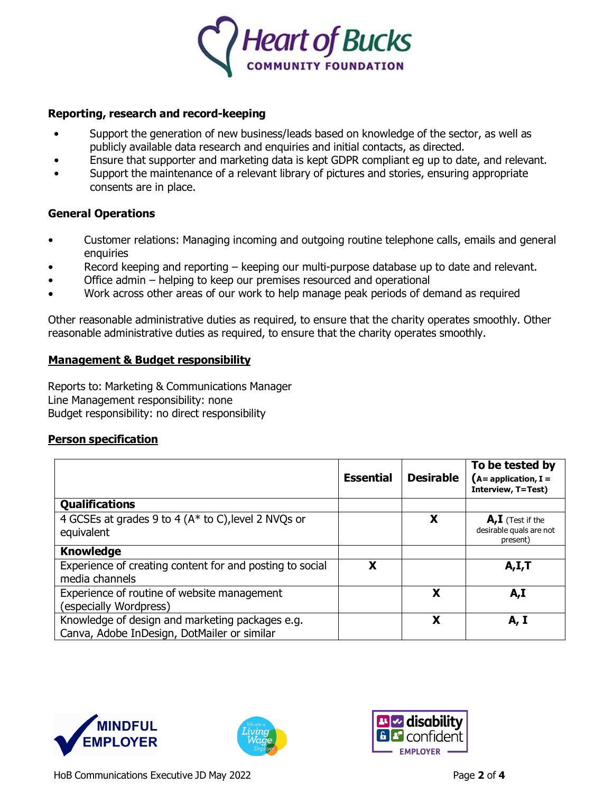

#### **Reporting, research and record-keeping**

- Support the generation of new business/leads based on knowledge of the sector, as well as publicly available data research and enquiries and initial contacts, as directed.
- Ensure that supporter and marketing data is kept GDPR compliant eg up to date, and relevant.
- Support the maintenance of a relevant library of pictures and stories, ensuring appropriate consents are in place.

## **General Operations**

- Customer relations: Managing incoming and outgoing routine telephone calls, emails and general enquiries
- Record keeping and reporting keeping our multi-purpose database up to date and relevant.
- Office admin helping to keep our premises resourced and operational
- Work across other areas of our work to help manage peak periods of demand as required

Other reasonable administrative duties as required, to ensure that the charity operates smoothly. Other reasonable administrative duties as required, to ensure that the charity operates smoothly.

#### **Management & Budget responsibility**

Reports to: Marketing & Communications Manager Line Management responsibility: none Budget responsibility: no direct responsibility

#### **Person specification**

|                                                                                                | <b>Essential</b> | <b>Desirable</b> | To be tested by<br>$(A = application, I =$<br><b>Interview, T=Test)</b> |
|------------------------------------------------------------------------------------------------|------------------|------------------|-------------------------------------------------------------------------|
| <b>Qualifications</b>                                                                          |                  |                  |                                                                         |
| 4 GCSEs at grades 9 to 4 (A* to C), level 2 NVQs or<br>equivalent                              |                  | X                | $A, I$ (Test if the<br>desirable quals are not<br>present)              |
| <b>Knowledge</b>                                                                               |                  |                  |                                                                         |
| Experience of creating content for and posting to social<br>media channels                     | х                |                  | A, I, T                                                                 |
| Experience of routine of website management<br>(especially Wordpress)                          |                  | X                | A,I                                                                     |
| Knowledge of design and marketing packages e.g.<br>Canva, Adobe InDesign, DotMailer or similar |                  | X                | A, I                                                                    |





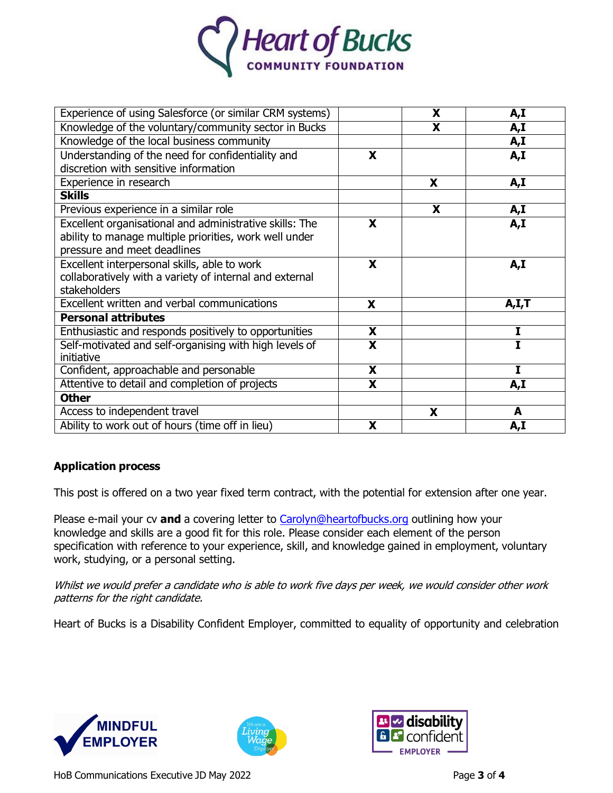

| Experience of using Salesforce (or similar CRM systems) |                         | X                       | A,I   |
|---------------------------------------------------------|-------------------------|-------------------------|-------|
| Knowledge of the voluntary/community sector in Bucks    |                         | $\overline{\mathbf{X}}$ | A,I   |
| Knowledge of the local business community               |                         |                         | A,I   |
| Understanding of the need for confidentiality and       | X                       |                         | A,I   |
| discretion with sensitive information                   |                         |                         |       |
| Experience in research                                  |                         | X                       | A,I   |
| <b>Skills</b>                                           |                         |                         |       |
| Previous experience in a similar role                   |                         | X                       | A,I   |
| Excellent organisational and administrative skills: The | X                       |                         | A,I   |
| ability to manage multiple priorities, work well under  |                         |                         |       |
| pressure and meet deadlines                             |                         |                         |       |
| Excellent interpersonal skills, able to work            | X                       |                         | A,I   |
| collaboratively with a variety of internal and external |                         |                         |       |
| stakeholders                                            |                         |                         |       |
| Excellent written and verbal communications             | X                       |                         | A,I,T |
| <b>Personal attributes</b>                              |                         |                         |       |
| Enthusiastic and responds positively to opportunities   | X                       |                         | I     |
| Self-motivated and self-organising with high levels of  | $\overline{\mathbf{x}}$ |                         | T     |
| initiative                                              |                         |                         |       |
| Confident, approachable and personable                  | $\overline{\mathbf{X}}$ |                         | Ī     |
| Attentive to detail and completion of projects          | X                       |                         | A,I   |
| <b>Other</b>                                            |                         |                         |       |
| Access to independent travel                            |                         | X                       | A     |
| Ability to work out of hours (time off in lieu)         | X                       |                         | A,I   |

## **Application process**

This post is offered on a two year fixed term contract, with the potential for extension after one year.

Please e-mail your cv **and** a covering letter to [Carolyn@heartofbucks.org](mailto:Carolyn@heartofbucks.org) outlining how your knowledge and skills are a good fit for this role. Please consider each element of the person specification with reference to your experience, skill, and knowledge gained in employment, voluntary work, studying, or a personal setting.

Whilst we would prefer a candidate who is able to work five days per week, we would consider other work patterns for the right candidate.

Heart of Bucks is a Disability Confident Employer, committed to equality of opportunity and celebration